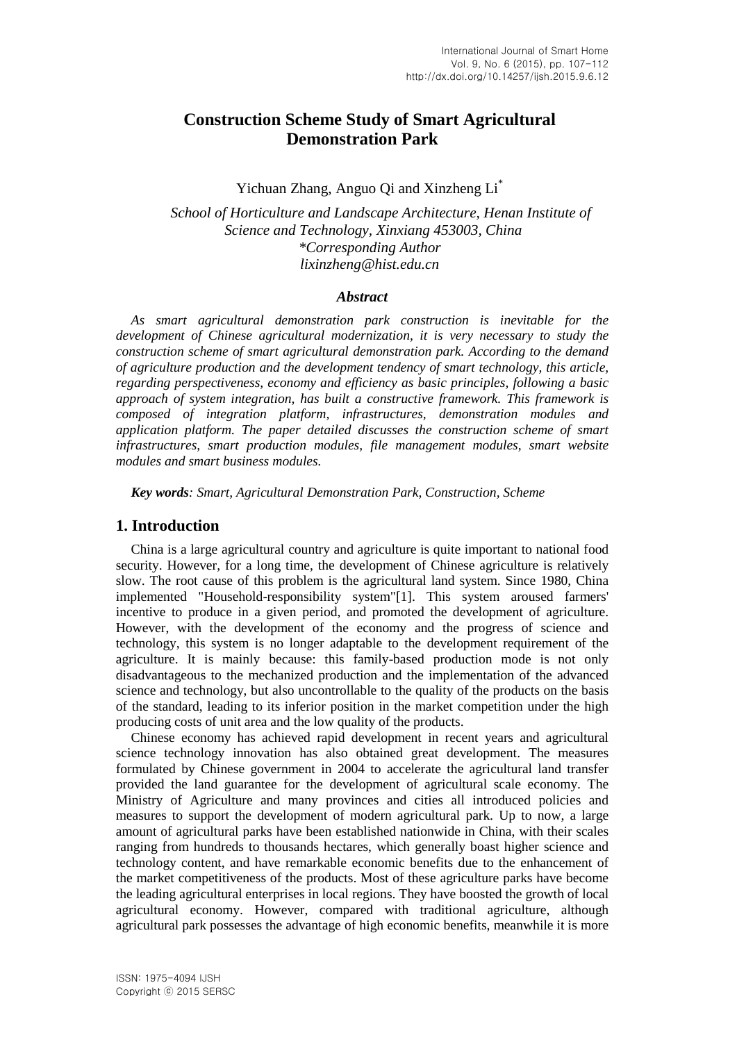# **Construction Scheme Study of Smart Agricultural Demonstration Park**

Yichuan Zhang, Anguo Qi and Xinzheng Li\*

*School of Horticulture and Landscape Architecture, Henan Institute of Science and Technology, Xinxiang 453003, China \*Corresponding Author lixinzheng@hist.edu.cn*

#### *Abstract*

*As smart agricultural demonstration park construction is inevitable for the development of Chinese agricultural modernization, it is very necessary to study the construction scheme of smart agricultural demonstration park. According to the demand of agriculture production and the development tendency of smart technology, this article, regarding perspectiveness, economy and efficiency as basic principles, following a basic approach of system integration, has built a constructive framework. This framework is composed of integration platform, infrastructures, demonstration modules and application platform. The paper detailed discusses the construction scheme of smart infrastructures, smart production modules, file management modules, smart website modules and smart business modules.*

*Key words: Smart, Agricultural Demonstration Park, Construction, Scheme*

#### **1. Introduction**

China is a large agricultural country and agriculture is quite important to national food security. However, for a long time, the development of Chinese agriculture is relatively slow. The root cause of this problem is the agricultural land system. Since 1980, China implemented "Household-responsibility system"[1]. This system aroused farmers' incentive to produce in a given period, and promoted the development of agriculture. However, with the development of the economy and the progress of science and technology, this system is no longer adaptable to the development requirement of the agriculture. It is mainly because: this family-based production mode is not only disadvantageous to the mechanized production and the implementation of the advanced science and technology, but also uncontrollable to the quality of the products on the basis of the standard, leading to its inferior position in the market competition under the high producing costs of unit area and the low quality of the products.

Chinese economy has achieved rapid development in recent years and agricultural science technology innovation has also obtained great development. The measures formulated by Chinese government in 2004 to accelerate the agricultural land transfer provided the land guarantee for the development of agricultural scale economy. The Ministry of Agriculture and many provinces and cities all introduced policies and measures to support the development of modern agricultural park. Up to now, a large amount of agricultural parks have been established nationwide in China, with their scales ranging from hundreds to thousands hectares, which generally boast higher science and technology content, and have remarkable economic benefits due to the enhancement of the market competitiveness of the products. Most of these agriculture parks have become the leading agricultural enterprises in local regions. They have boosted the growth of local agricultural economy. However, compared with traditional agriculture, although agricultural park possesses the advantage of high economic benefits, meanwhile it is more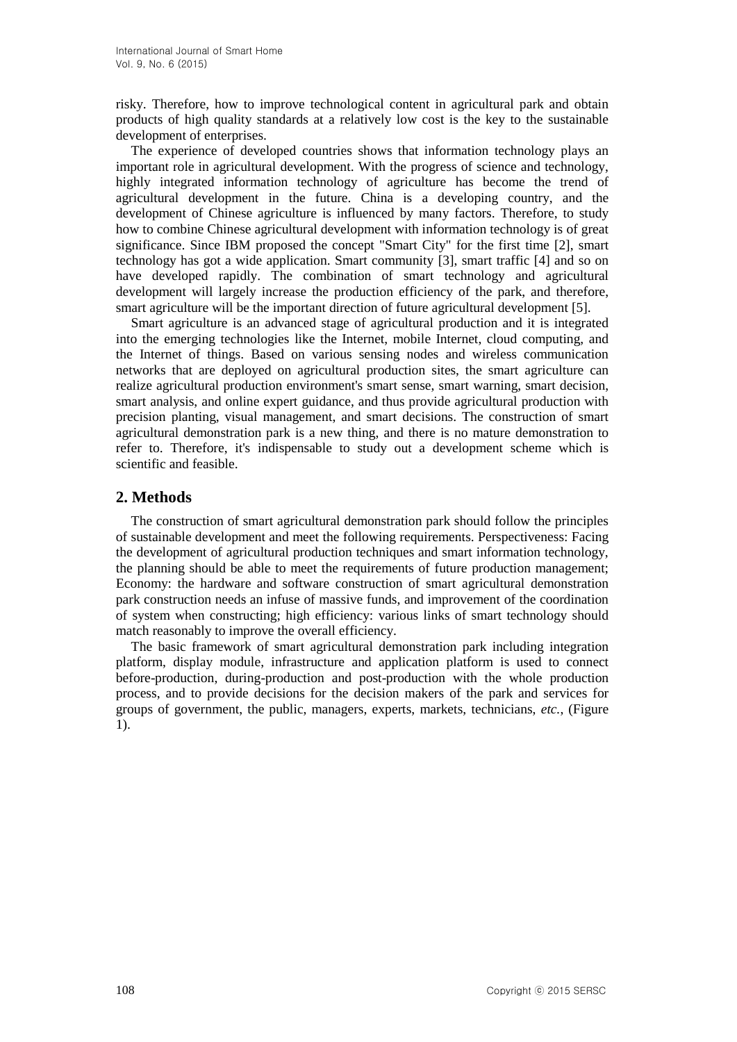risky. Therefore, how to improve technological content in agricultural park and obtain products of high quality standards at a relatively low cost is the key to the sustainable development of enterprises.

The experience of developed countries shows that information technology plays an important role in agricultural development. With the progress of science and technology, highly integrated information technology of agriculture has become the trend of agricultural development in the future. China is a developing country, and the development of Chinese agriculture is influenced by many factors. Therefore, to study how to combine Chinese agricultural development with information technology is of great significance. Since IBM proposed the concept "Smart City" for the first time [2], smart technology has got a wide application. Smart community [3], smart traffic [4] and so on have developed rapidly. The combination of smart technology and agricultural development will largely increase the production efficiency of the park, and therefore, smart agriculture will be the important direction of future agricultural development [5].

Smart agriculture is an advanced stage of agricultural production and it is integrated into the emerging technologies like the Internet, mobile Internet, cloud computing, and the Internet of things. Based on various sensing nodes and wireless communication networks that are deployed on agricultural production sites, the smart agriculture can realize agricultural production environment's smart sense, smart warning, smart decision, smart analysis, and online expert guidance, and thus provide agricultural production with precision planting, visual management, and smart decisions. The construction of smart agricultural demonstration park is a new thing, and there is no mature demonstration to refer to. Therefore, it's indispensable to study out a development scheme which is scientific and feasible.

## **2. Methods**

The construction of smart agricultural demonstration park should follow the principles of sustainable development and meet the following requirements. Perspectiveness: Facing the development of agricultural production techniques and smart information technology, the planning should be able to meet the requirements of future production management; Economy: the hardware and software construction of smart agricultural demonstration park construction needs an infuse of massive funds, and improvement of the coordination of system when constructing; high efficiency: various links of smart technology should match reasonably to improve the overall efficiency.

The basic framework of smart agricultural demonstration park including integration platform, display module, infrastructure and application platform is used to connect before-production, during-production and post-production with the whole production process, and to provide decisions for the decision makers of the park and services for groups of government, the public, managers, experts, markets, technicians, *etc.*, (Figure 1).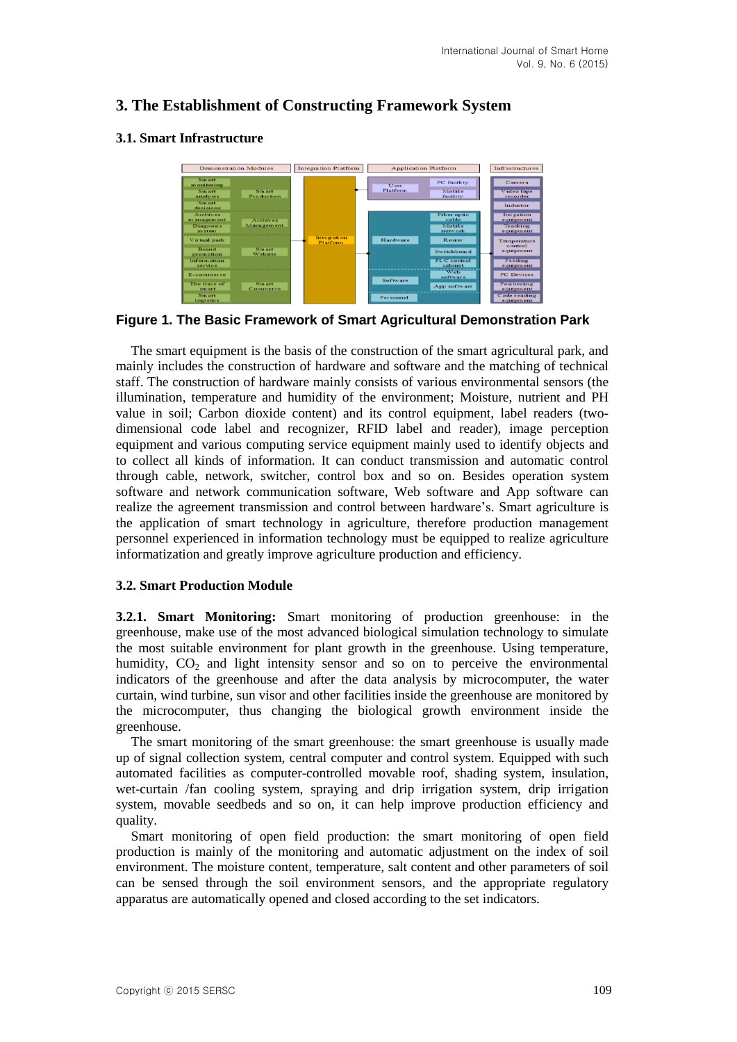# **3. The Establishment of Constructing Framework System**

#### **3.1. Smart Infrastructure**



**Figure 1. The Basic Framework of Smart Agricultural Demonstration Park**

The smart equipment is the basis of the construction of the smart agricultural park, and mainly includes the construction of hardware and software and the matching of technical staff. The construction of hardware mainly consists of various environmental sensors (the illumination, temperature and humidity of the environment; Moisture, nutrient and PH value in soil; Carbon dioxide content) and its control equipment, label readers (twodimensional code label and recognizer, RFID label and reader), image perception equipment and various computing service equipment mainly used to identify objects and to collect all kinds of information. It can conduct transmission and automatic control through cable, network, switcher, control box and so on. Besides operation system software and network communication software, Web software and App software can realize the agreement transmission and control between hardware's. Smart agriculture is the application of smart technology in agriculture, therefore production management personnel experienced in information technology must be equipped to realize agriculture informatization and greatly improve agriculture production and efficiency.

#### **3.2. Smart Production Module**

**3.2.1. Smart Monitoring:** Smart monitoring of production greenhouse: in the greenhouse, make use of the most advanced biological simulation technology to simulate the most suitable environment for plant growth in the greenhouse. Using temperature, humidity,  $CO<sub>2</sub>$  and light intensity sensor and so on to perceive the environmental indicators of the greenhouse and after the data analysis by microcomputer, the water curtain, wind turbine, sun visor and other facilities inside the greenhouse are monitored by the microcomputer, thus changing the biological growth environment inside the greenhouse.

The smart monitoring of the smart greenhouse: the smart greenhouse is usually made up of signal collection system, central computer and control system. Equipped with such automated facilities as computer-controlled movable roof, shading system, insulation, wet-curtain /fan cooling system, spraying and drip irrigation system, drip irrigation system, movable seedbeds and so on, it can help improve production efficiency and quality.

Smart monitoring of open field production: the smart monitoring of open field production is mainly of the monitoring and automatic adjustment on the index of soil environment. The moisture content, temperature, salt content and other parameters of soil can be sensed through the soil environment sensors, and the appropriate regulatory apparatus are automatically opened and closed according to the set indicators.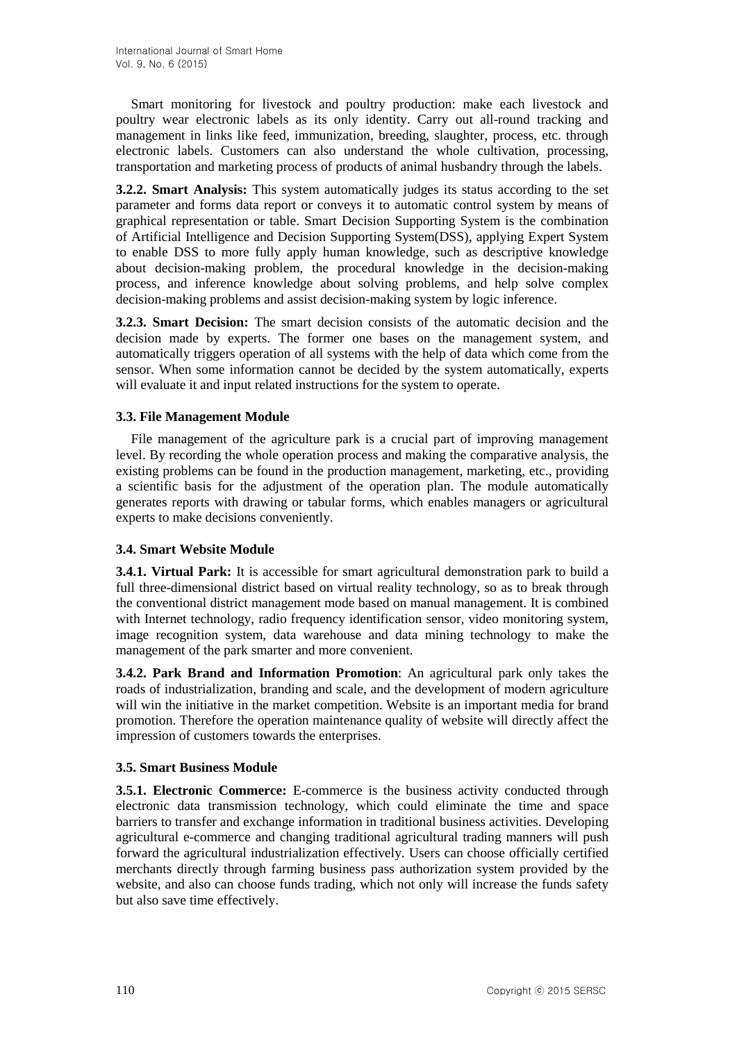Smart monitoring for livestock and poultry production: make each livestock and poultry wear electronic labels as its only identity. Carry out all-round tracking and management in links like feed, immunization, breeding, slaughter, process, etc. through electronic labels. Customers can also understand the whole cultivation, processing, transportation and marketing process of products of animal husbandry through the labels.

**3.2.2. Smart Analysis:** This system automatically judges its status according to the set parameter and forms data report or conveys it to automatic control system by means of graphical representation or table. Smart Decision Supporting System is the combination of Artificial Intelligence and Decision Supporting System(DSS), applying Expert System to enable DSS to more fully apply human knowledge, such as descriptive knowledge about decision-making problem, the procedural knowledge in the decision-making process, and inference knowledge about solving problems, and help solve complex decision-making problems and assist decision-making system by logic inference.

**3.2.3. Smart Decision:** The smart decision consists of the automatic decision and the decision made by experts. The former one bases on the management system, and automatically triggers operation of all systems with the help of data which come from the sensor. When some information cannot be decided by the system automatically, experts will evaluate it and input related instructions for the system to operate.

## **3.3. File Management Module**

File management of the agriculture park is a crucial part of improving management level. By recording the whole operation process and making the comparative analysis, the existing problems can be found in the production management, marketing, etc., providing a scientific basis for the adjustment of the operation plan. The module automatically generates reports with drawing or tabular forms, which enables managers or agricultural experts to make decisions conveniently.

## **3.4. Smart Website Module**

**3.4.1. Virtual Park:** It is accessible for smart agricultural demonstration park to build a full three-dimensional district based on virtual reality technology, so as to break through the conventional district management mode based on manual management. It is combined with Internet technology, radio frequency identification sensor, video monitoring system, image recognition system, data warehouse and data mining technology to make the management of the park smarter and more convenient.

**3.4.2. Park Brand and Information Promotion**: An agricultural park only takes the roads of industrialization, branding and scale, and the development of modern agriculture will win the initiative in the market competition. Website is an important media for brand promotion. Therefore the operation maintenance quality of website will directly affect the impression of customers towards the enterprises.

#### **3.5. Smart Business Module**

**3.5.1. Electronic Commerce:** E-commerce is the business activity conducted through electronic data transmission technology, which could eliminate the time and space barriers to transfer and exchange information in traditional business activities. Developing agricultural e-commerce and changing traditional agricultural trading manners will push forward the agricultural industrialization effectively. Users can choose officially certified merchants directly through farming business pass authorization system provided by the website, and also can choose funds trading, which not only will increase the funds safety but also save time effectively.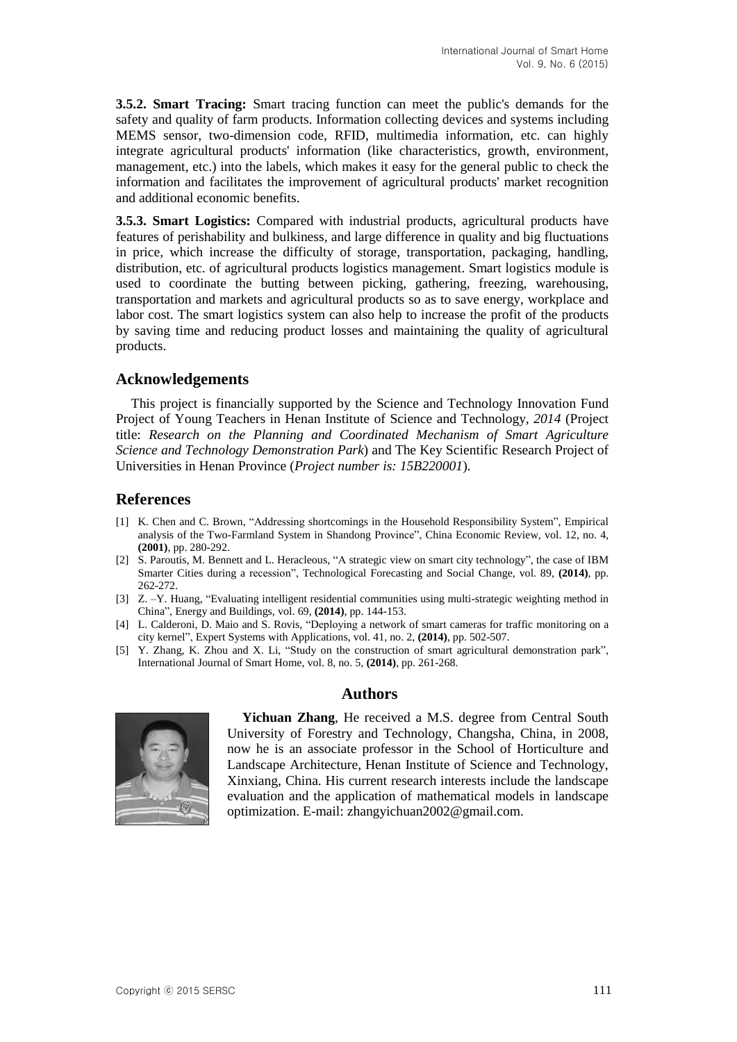**3.5.2. Smart Tracing:** Smart tracing function can meet the public's demands for the safety and quality of farm products. Information collecting devices and systems including MEMS sensor, two-dimension code, RFID, multimedia information, etc. can highly integrate agricultural products' information (like characteristics, growth, environment, management, etc.) into the labels, which makes it easy for the general public to check the information and facilitates the improvement of agricultural products' market recognition and additional economic benefits.

**3.5.3. Smart Logistics:** Compared with industrial products, agricultural products have features of perishability and bulkiness, and large difference in quality and big fluctuations in price, which increase the difficulty of storage, transportation, packaging, handling, distribution, etc. of agricultural products logistics management. Smart logistics module is used to coordinate the butting between picking, gathering, freezing, warehousing, transportation and markets and agricultural products so as to save energy, workplace and labor cost. The smart logistics system can also help to increase the profit of the products by saving time and reducing product losses and maintaining the quality of agricultural products.

## **Acknowledgements**

This project is financially supported by the Science and Technology Innovation Fund Project of Young Teachers in Henan Institute of Science and Technology*, 2014* (Project title: *Research on the Planning and Coordinated Mechanism of Smart Agriculture Science and Technology Demonstration Park*) and The Key Scientific Research Project of Universities in Henan Province (*Project number is: 15B220001*).

## **References**

- [1] K. Chen and C. Brown, "Addressing shortcomings in the Household Responsibility System", Empirical analysis of the Two-Farmland System in Shandong Province", China Economic Review, vol. 12, no. 4, **(2001)**, pp. 280-292.
- [2] S. Paroutis, M. Bennett and L. Heracleous, "A strategic view on smart city technology", the case of IBM Smarter Cities during a recession", Technological Forecasting and Social Change, vol. 89, **(2014)**, pp. 262-272.
- [3] Z. –Y. Huang, "Evaluating intelligent residential communities using [multi-strategic](http://www.sciencedirect.com.ezproxy.scu.edu.au/science/article/pii/S0378778813006725) weighting method in [China"](http://www.sciencedirect.com.ezproxy.scu.edu.au/science/article/pii/S0378778813006725), Energy and Buildings, vol. 69, **(2014)**, pp. 144-153.
- [4] L. [Calderoni,](http://www.sciencedirect.com.ezproxy.scu.edu.au/science/article/pii/S0957417413005630) D. [Maio](http://www.sciencedirect.com.ezproxy.scu.edu.au/science/article/pii/S0957417413005630) and S. [Rovis,](http://www.sciencedirect.com.ezproxy.scu.edu.au/science/article/pii/S0957417413005630) "Deploying a network of smart cameras for traffic monitoring on a city kernel", Expert Systems with [Applications,](http://www.sciencedirect.com.ezproxy.scu.edu.au/science/journal/09574174) vol. [41,](http://www.sciencedirect.com.ezproxy.scu.edu.au/science/journal/09574174/41/2) no. 2, **(2014)**, pp. 502-507.
- [5] Y. Zhang, K. Zhou and X. Li, "Study on the construction of smart agricultural demonstration park", International Journal of Smart Home, vol. 8, no. 5, **(2014)**, pp. 261-268.

## **Authors**



**Yichuan Zhang**, He received a M.S. degree from Central South University of Forestry and Technology, Changsha, China, in 2008, now he is an associate professor in the School of Horticulture and Landscape Architecture, Henan Institute of Science and Technology, Xinxiang, China. His current research interests include the landscape evaluation and the application of mathematical models in landscape optimization. E-mail: zhangyichuan2002@gmail.com.